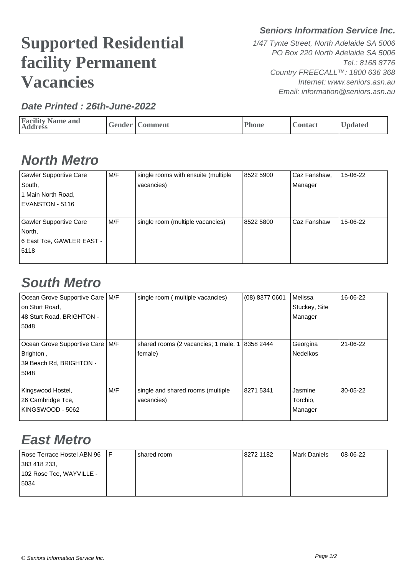# **Supported Residential facility Permanent Vacancies**

#### **Date Printed : 26th-June-2022**

**Seniors Information Service Inc.**

1/47 Tynte Street, North Adelaide SA 5006 PO Box 220 North Adelaide SA 5006 Tel.: 8168 8776 Country FREECALL™: 1800 636 368 Internet: www.seniors.asn.au Email: information@seniors.asn.au

| <b>Facility Name and</b><br><b>Address</b> |  | Gender   Comment | Phone | Contact | <b>Updated</b> |
|--------------------------------------------|--|------------------|-------|---------|----------------|
|--------------------------------------------|--|------------------|-------|---------|----------------|

### **North Metro**

| <b>Gawler Supportive Care</b> | M/F | single rooms with ensuite (multiple | 8522 5900 | Caz Fanshaw,  | 15-06-22 |
|-------------------------------|-----|-------------------------------------|-----------|---------------|----------|
| South,                        |     | vacancies)                          |           | Manager       |          |
| 1 Main North Road,            |     |                                     |           |               |          |
| EVANSTON - 5116               |     |                                     |           |               |          |
|                               |     |                                     |           |               |          |
| Gawler Supportive Care        | M/F | single room (multiple vacancies)    | 8522 5800 | l Caz Fanshaw | 15-06-22 |
| North,                        |     |                                     |           |               |          |
| 6 East Tce, GAWLER EAST -     |     |                                     |           |               |          |
| 5118                          |     |                                     |           |               |          |
|                               |     |                                     |           |               |          |

#### **South Metro**

| Ocean Grove Supportive Care   M/F |     | single room (multiple vacancies)                     | (08) 8377 0601 | <b>Melissa</b> | 16-06-22   |
|-----------------------------------|-----|------------------------------------------------------|----------------|----------------|------------|
| on Sturt Road,                    |     |                                                      |                | Stuckey, Site  |            |
| 48 Sturt Road, BRIGHTON -         |     |                                                      |                | Manager        |            |
| 5048                              |     |                                                      |                |                |            |
|                                   |     |                                                      |                |                |            |
| Ocean Grove Supportive Care   M/F |     | shared rooms (2 vacancies; 1 male. $1 \mid 83582444$ |                | Georgina       | 21-06-22   |
| Brighton,                         |     | female)                                              |                | l Nedelkos     |            |
| 39 Beach Rd, BRIGHTON -           |     |                                                      |                |                |            |
| 5048                              |     |                                                      |                |                |            |
|                                   |     |                                                      |                |                |            |
| Kingswood Hostel,                 | M/F | single and shared rooms (multiple                    | 8271 5341      | Jasmine        | $30-05-22$ |
| 26 Cambridge Tce,                 |     | vacancies)                                           |                | Torchio,       |            |
| KINGSWOOD - 5062                  |     |                                                      |                | Manager        |            |
|                                   |     |                                                      |                |                |            |

## **East Metro**

| Rose Terrace Hostel ABN 96 | shared room | 8272 1182 | Mark Daniels | 08-06-22 |
|----------------------------|-------------|-----------|--------------|----------|
| 383 418 233.               |             |           |              |          |
| 102 Rose Tce, WAYVILLE -   |             |           |              |          |
| 5034                       |             |           |              |          |
|                            |             |           |              |          |